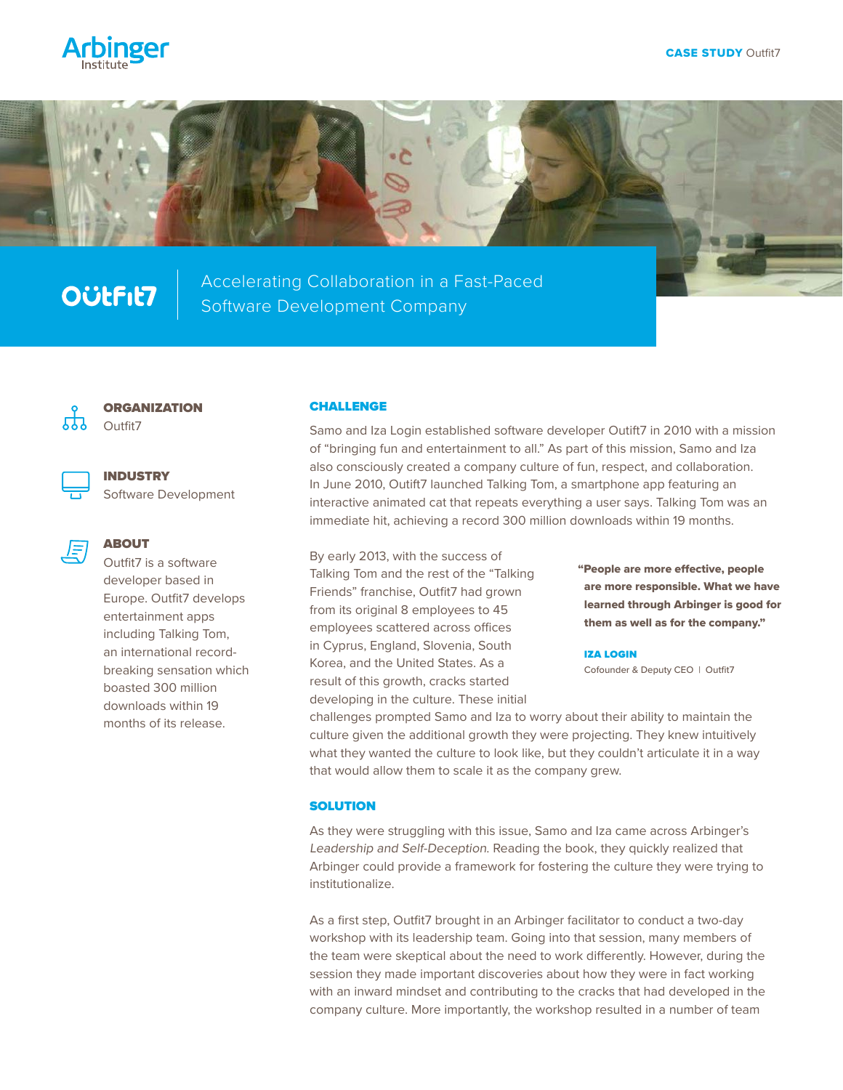



## **OÜLFIL7**

Accelerating Collaboration in a Fast-Paced Software Development Company



**ORGANIZATION** Outfit7

Software Development



ABOUT

INDUSTRY

Outfit7 is a software developer based in Europe. Outfit7 develops entertainment apps including Talking Tom, an international recordbreaking sensation which boasted 300 million downloads within 19 months of its release.

## CHALLENGE

Samo and Iza Login established software developer Outift7 in 2010 with a mission of "bringing fun and entertainment to all." As part of this mission, Samo and Iza also consciously created a company culture of fun, respect, and collaboration. In June 2010, Outift7 launched Talking Tom, a smartphone app featuring an interactive animated cat that repeats everything a user says. Talking Tom was an immediate hit, achieving a record 300 million downloads within 19 months.

By early 2013, with the success of Talking Tom and the rest of the "Talking Friends" franchise, Outfit7 had grown from its original 8 employees to 45 employees scattered across offices in Cyprus, England, Slovenia, South Korea, and the United States. As a result of this growth, cracks started developing in the culture. These initial

"People are more effective, people are more responsible. What we have learned through Arbinger is good for them as well as for the company."

IZA LOGIN

Cofounder & Deputy CEO | Outfit7

challenges prompted Samo and Iza to worry about their ability to maintain the culture given the additional growth they were projecting. They knew intuitively what they wanted the culture to look like, but they couldn't articulate it in a way that would allow them to scale it as the company grew.

## **SOLUTION**

As they were struggling with this issue, Samo and Iza came across Arbinger's Leadership and Self-Deception. Reading the book, they quickly realized that Arbinger could provide a framework for fostering the culture they were trying to institutionalize.

As a first step, Outfit7 brought in an Arbinger facilitator to conduct a two-day workshop with its leadership team. Going into that session, many members of the team were skeptical about the need to work differently. However, during the session they made important discoveries about how they were in fact working with an inward mindset and contributing to the cracks that had developed in the company culture. More importantly, the workshop resulted in a number of team